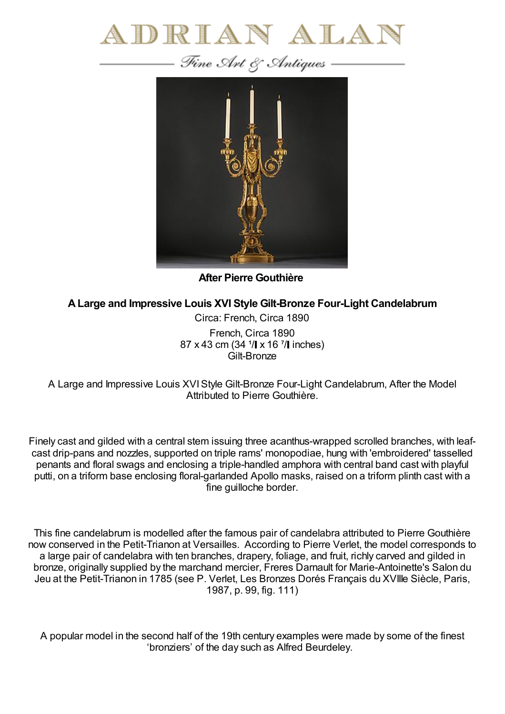



**After Pierre Gouthière**

**ALarge and Impressive Louis XVI Style Gilt-Bronze Four-Light Candelabrum**

Circa: French, Circa 1890 French, Circa 1890 87 x 43 cm (34  $1/$  x 16  $7/$  inches) Gilt-Bronze

A Large and Impressive Louis XVIStyle Gilt-Bronze Four-Light Candelabrum, After the Model Attributed to Pierre Gouthière.

Finely cast and gilded with a central stem issuing three acanthus-wrapped scrolled branches, with leafcast drip-pans and nozzles, supported on triple rams' monopodiae, hung with 'embroidered' tasselled penants and floral swags and enclosing a triple-handled amphora with central band cast with playful putti, on a triform base enclosing floral-garlanded Apollo masks, raised on a triform plinth cast with a fine guilloche border.

This fine candelabrum is modelled after the famous pair of candelabra attributed to Pierre Gouthière now conserved in the Petit-Trianon at Versailles. According to Pierre Verlet, the model corresponds to a large pair of candelabra with ten branches, drapery, foliage, and fruit, richly carved and gilded in bronze, originally supplied by the marchand mercier, Freres Darnault for Marie-Antoinette's Salon du Jeu at the Petit-Trianon in 1785 (see P. Verlet, Les Bronzes Dorés Français du XVIIIe Siècle, Paris, 1987, p. 99, fig. 111)

A popular model in the second half of the 19th century examples were made by some of the finest 'bronziers' of the day such as Alfred Beurdeley.